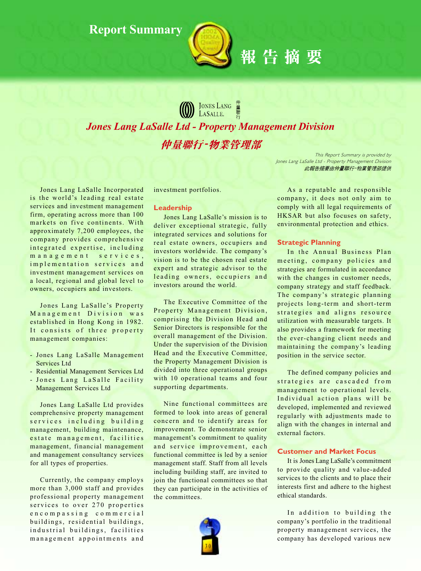

**Jones Lang LaSalle Ltd - Property Management Division** 仲量聯行-物業管理部

> This Report Summary is provided by Jones Lang LaSalle Ltd - Property Management Division 此報告摘要由仲量聯行-物業管理部提供

Jones Lang LaSalle Incorporated is the world's leading real estate services and investment management firm, operating across more than 100 markets on five continents. With approximately 7,200 employees, the company provides comprehensive integrated expertise, including management services, implementation services and investment management services on a local, regional and global level to owners, occupiers and investors.

Jones Lang LaSalle's Property Management Division was established in Hong Kong in 1982. It consists of three property management companies:

- Jones Lang LaSalle Management Services Ltd
- Residential Management Services Ltd
- Jones Lang LaSalle Facility **Management Services Ltd**

Jones Lang LaSalle Ltd provides comprehensive property management services including building management, building maintenance, estate management, facilities management, financial management and management consultancy services for all types of properties.

Currently, the company employs more than 3,000 staff and provides professional property management services to over 270 properties encompassing commercial buildings, residential buildings, industrial buildings, facilities management appointments and

investment portfolios.

#### Leadership

Jones Lang LaSalle's mission is to deliver exceptional strategic, fully integrated services and solutions for real estate owners, occupiers and investors worldwide. The company's vision is to be the chosen real estate expert and strategic advisor to the leading owners, occupiers and investors around the world.

The Executive Committee of the Property Management Division, comprising the Division Head and Senior Directors is responsible for the overall management of the Division. Under the supervision of the Division Head and the Executive Committee. the Property Management Division is divided into three operational groups with 10 operational teams and four supporting departments.

Nine functional committees are formed to look into areas of general concern and to identify areas for improvement. To demonstrate senior management's commitment to quality and service improvement, each functional committee is led by a senior management staff. Staff from all levels including building staff, are invited to join the functional committees so that they can participate in the activities of the committees.



As a reputable and responsible company, it does not only aim to comply with all legal requirements of HKSAR but also focuses on safety, environmental protection and ethics.

# **Strategic Planning**

報告摘要

In the Annual Business Plan meeting, company policies and strategies are formulated in accordance with the changes in customer needs, company strategy and staff feedback. The company's strategic planning projects long-term and short-term strategies and aligns resource utilization with measurable targets. It also provides a framework for meeting the ever-changing client needs and maintaining the company's leading position in the service sector.

The defined company policies and strategies are cascaded from management to operational levels. Individual action plans will be developed, implemented and reviewed regularly with adjustments made to align with the changes in internal and external factors.

#### **Customer and Market Focus**

It is Jones Lang LaSalle's commitment to provide quality and value-added services to the clients and to place their interests first and adhere to the highest ethical standards.

In addition to building the company's portfolio in the traditional property management services, the company has developed various new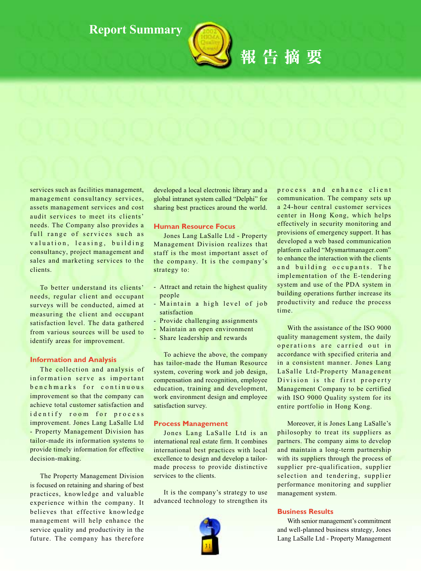

報告摘要

services such as facilities management, management consultancy services, assets management services and cost audit services to meet its clients' needs. The Company also provides a full range of services such as valuation, leasing, building consultancy, project management and sales and marketing services to the clients

To better understand its clients' needs, regular client and occupant surveys will be conducted, aimed at measuring the client and occupant satisfaction level. The data gathered from various sources will be used to identify areas for improvement.

# **Information and Analysis**

The collection and analysis of information serve as important benchmarks for continuous improvement so that the company can achieve total customer satisfaction and identify room for process improvement. Jones Lang LaSalle Ltd - Property Management Division has tailor-made its information systems to provide timely information for effective decision-making.

The Property Management Division is focused on retaining and sharing of best practices, knowledge and valuable experience within the company. It believes that effective knowledge management will help enhance the service quality and productivity in the future. The company has therefore

developed a local electronic library and a global intranet system called "Delphi" for sharing best practices around the world.

#### **Human Resource Focus**

Jones Lang LaSalle Ltd - Property Management Division realizes that staff is the most important asset of the company. It is the company's strategy to:

- Attract and retain the highest quality people
- Maintain a high level of job satisfaction
- Provide challenging assignments
- Maintain an open environment
- Share leadership and rewards

To achieve the above, the company has tailor-made the Human Resource system, covering work and job design, compensation and recognition, employee education, training and development, work environment design and employee satisfaction survey.

#### **Process Management**

Jones Lang LaSalle Ltd is an international real estate firm. It combines international best practices with local excellence to design and develop a tailormade process to provide distinctive services to the clients.

It is the company's strategy to use advanced technology to strengthen its



process and enhance client communication. The company sets up a 24-hour central customer services center in Hong Kong, which helps effectively in security monitoring and provisions of emergency support. It has developed a web based communication platform called "Mysmartmanager.com" to enhance the interaction with the clients and building occupants. The implementation of the E-tendering system and use of the PDA system in building operations further increase its productivity and reduce the process time.

With the assistance of the ISO 9000 quality management system, the daily operations are carried out in accordance with specified criteria and in a consistent manner. Jones Lang LaSalle Ltd-Property Managenent Division is the first property Management Company to be certified with ISO 9000 Quality system for its entire portfolio in Hong Kong.

Moreover, it is Jones Lang LaSalle's philosophy to treat its suppliers as partners. The company aims to develop and maintain a long-term partnership with its suppliers through the process of supplier pre-qualification, supplier selection and tendering, supplier performance monitoring and supplier management system.

### **Business Results**

With senior management's commitment and well-planned business strategy, Jones Lang LaSalle Ltd - Property Management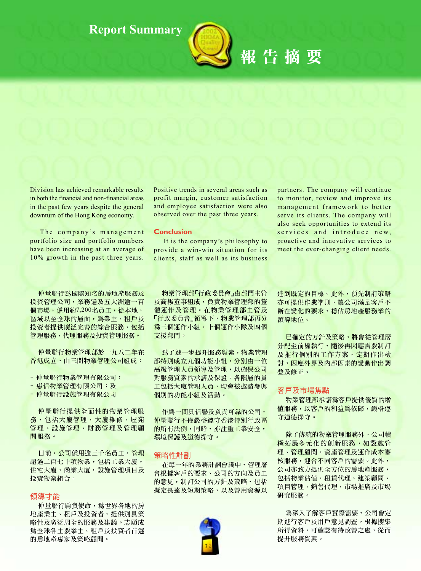

報告摘要

Division has achieved remarkable results in both the financial and non-financial areas in the past few years despite the general downturn of the Hong Kong economy.

The company's management portfolio size and portfolio numbers have been increasing at an average of 10% growth in the past three years.

Positive trends in several areas such as profit margin, customer satisfaction and employee satisfaction were also observed over the past three years.

#### **Conclusion**

It is the company's philosophy to provide a win-win situation for its clients, staff as well as its business

partners. The company will continue to monitor, review and improve its management framework to better serve its clients. The company will also seek opportunities to extend its services and introduce new. proactive and innovative services to meet the ever-changing client needs.

仲量聯行爲國際知名的房地產服務及 投資管理公司,業務遍及五大洲逾一百 個市場,僱用約7,200名員工,從本地、 區域以至全球的層面,為業主、租戶及 投資者提供廣泛完善的綜合服務,包括 管理服務、代理服務及投資管理服務。

仲量聯行物業管理部於一九八二年在 香港成立,由三間物業管理公司組成:

- 仲量聯行物業管理有限公司;

- 惠信物業管理有限公司;及
- 仲量聯行設施管理有限公司

仲量聯行提供全面性的物業管理服 務,包括大廈管理、大廈維修、屋苑 管理、設施管理、財務管理及管理顧 問服務。

目前,公司僱用逾三千名員工,管理 超過二百七十項物業,包括工業大廈, 住宅大廈, 商業大廈, 設施管理項目及 投資物業組合。

# 領導才能

仲量聯行肩負使命,為世界各地的房 地產業主、租戶及投資者,提供別具策 略性及廣泛周全的服務及建議。志願成 爲全球各主要業主、租戶及投資者首選 的房地產專家及策略顧問。

物業管理部「行政委員會」由部門主管 及高級董事組成,負責物業管理部的整 體運作及管理。在物業管理部主管及 「行政委員會」領導下,物業管理部再分 為三個運作小組、十個運作小隊及四個 支援部門。

為了進一步提升服務質素,物業管理 部特別成立九個功能小組,分別由一位 高級管理人員領導及管理,以確保公司 對服務質素的承諾及保證。各階層的員 工包括大廈管理人員,均會被邀請參與 個別的功能小組及活動。

作為一間具信譽及負責可靠的公司, 仲量聯行不僅嚴格遵守香港特別行政區 的所有法例,同時,亦注重工業安全, 環境保護及道德操守。

#### 策略性計劃

在每一年的業務計劃會議中,管理層 會根據客戶的要求、公司的方向及員工 的意見,制訂公司的方針及策略,包括 擬定長遠及短期策略,以及善用資源以



達到既定的目標。此外,預先制訂策略 亦可提供作業準則,讓公司滿足客戶不 斷在變化的要求,穩佔房地產服務業的 領導地位。

已確定的方針及策略,將會從管理層 分配至前線執行,隨後再因應需要制訂 及推行個別的工作方案,定期作出檢 討,因應外界及內部因素的變動作出調 整及修正。

#### 客戸及市場焦點

物業管理部承諾為客戶提供優質的增 值服務,以客戶的利益爲依歸,嚴格遵 守道德操守。

除了傳統的物業管理服務外,公司積 極拓展多元化的創新服務,如設施管 理、管理顧問、資產管理及運作成本審 核服務,迎合不同客戶的需要。此外, 公司亦致力提供全方位的房地產服務, 包括物業估值、租賃代理、建築顧問、 項目管理、銷售代理、市場推廣及市場 研究服務。

為深入了解客戶實際需要,公司會定 期進行客戶及用戶意見調查。根據搜集 所得資料,可確認有待改善之處,從而 提升服務質素。